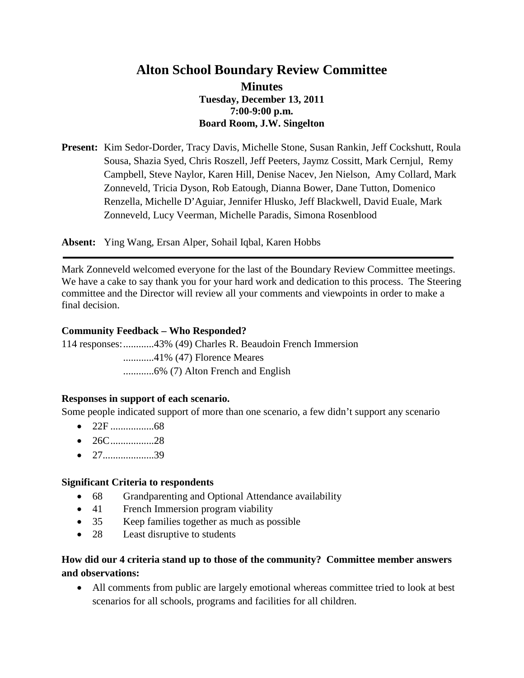# **Alton School Boundary Review Committee Minutes Tuesday, December 13, 2011 7:00-9:00 p.m. Board Room, J.W. Singelton**

**Present:** Kim Sedor-Dorder, Tracy Davis, Michelle Stone, Susan Rankin, Jeff Cockshutt, Roula Sousa, Shazia Syed, Chris Roszell, Jeff Peeters, Jaymz Cossitt, Mark Cernjul, Remy Campbell, Steve Naylor, Karen Hill, Denise Nacev, Jen Nielson, Amy Collard, Mark Zonneveld, Tricia Dyson, Rob Eatough, Dianna Bower, Dane Tutton, Domenico Renzella, Michelle D'Aguiar, Jennifer Hlusko, Jeff Blackwell, David Euale, Mark Zonneveld, Lucy Veerman, Michelle Paradis, Simona Rosenblood

**Absent:** Ying Wang, Ersan Alper, Sohail Iqbal, Karen Hobbs

Mark Zonneveld welcomed everyone for the last of the Boundary Review Committee meetings. We have a cake to say thank you for your hard work and dedication to this process. The Steering committee and the Director will review all your comments and viewpoints in order to make a final decision.

#### **Community Feedback – Who Responded?**

114 responses:............43% (49) Charles R. Beaudoin French Immersion

............41% (47) Florence Meares

............6% (7) Alton French and English

# **Responses in support of each scenario.**

Some people indicated support of more than one scenario, a few didn't support any scenario

- 22F .................68
- 26C.................28
- 27........................39

#### **Significant Criteria to respondents**

- 68 Grandparenting and Optional Attendance availability
- 41 French Immersion program viability
- 35 Keep families together as much as possible
- 28 Least disruptive to students

# **How did our 4 criteria stand up to those of the community? Committee member answers and observations:**

• All comments from public are largely emotional whereas committee tried to look at best scenarios for all schools, programs and facilities for all children.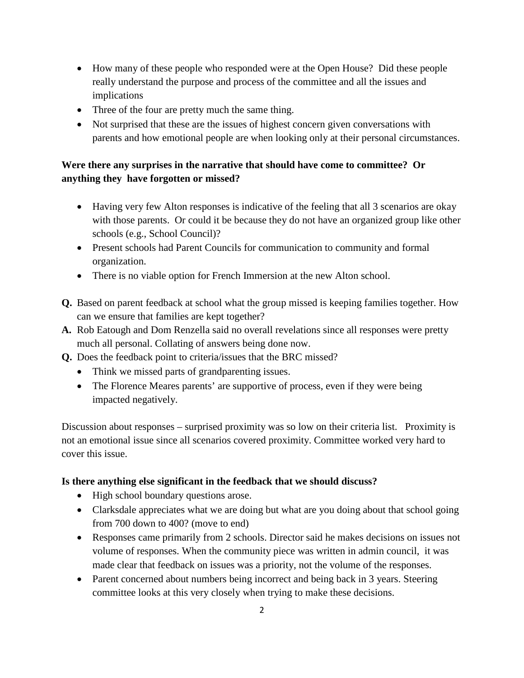- How many of these people who responded were at the Open House? Did these people really understand the purpose and process of the committee and all the issues and implications
- Three of the four are pretty much the same thing.
- Not surprised that these are the issues of highest concern given conversations with parents and how emotional people are when looking only at their personal circumstances.

# **Were there any surprises in the narrative that should have come to committee? Or anything they have forgotten or missed?**

- Having very few Alton responses is indicative of the feeling that all 3 scenarios are okay with those parents. Or could it be because they do not have an organized group like other schools (e.g., School Council)?
- Present schools had Parent Councils for communication to community and formal organization.
- There is no viable option for French Immersion at the new Alton school.
- **Q.** Based on parent feedback at school what the group missed is keeping families together. How can we ensure that families are kept together?
- **A.** Rob Eatough and Dom Renzella said no overall revelations since all responses were pretty much all personal. Collating of answers being done now.
- **Q.** Does the feedback point to criteria/issues that the BRC missed?
	- Think we missed parts of grandparenting issues.
	- The Florence Meares parents' are supportive of process, even if they were being impacted negatively.

Discussion about responses – surprised proximity was so low on their criteria list. Proximity is not an emotional issue since all scenarios covered proximity. Committee worked very hard to cover this issue.

# **Is there anything else significant in the feedback that we should discuss?**

- High school boundary questions arose.
- Clarksdale appreciates what we are doing but what are you doing about that school going from 700 down to 400? (move to end)
- Responses came primarily from 2 schools. Director said he makes decisions on issues not volume of responses. When the community piece was written in admin council, it was made clear that feedback on issues was a priority, not the volume of the responses.
- Parent concerned about numbers being incorrect and being back in 3 years. Steering committee looks at this very closely when trying to make these decisions.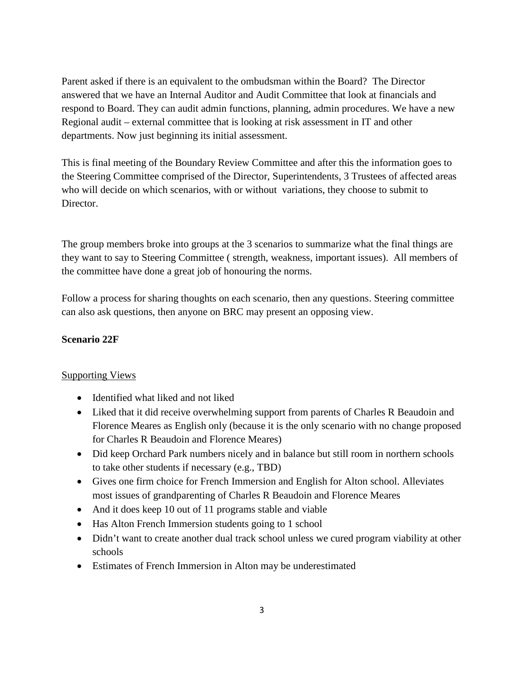Parent asked if there is an equivalent to the ombudsman within the Board? The Director answered that we have an Internal Auditor and Audit Committee that look at financials and respond to Board. They can audit admin functions, planning, admin procedures. We have a new Regional audit – external committee that is looking at risk assessment in IT and other departments. Now just beginning its initial assessment.

This is final meeting of the Boundary Review Committee and after this the information goes to the Steering Committee comprised of the Director, Superintendents, 3 Trustees of affected areas who will decide on which scenarios, with or without variations, they choose to submit to Director.

The group members broke into groups at the 3 scenarios to summarize what the final things are they want to say to Steering Committee ( strength, weakness, important issues). All members of the committee have done a great job of honouring the norms.

Follow a process for sharing thoughts on each scenario, then any questions. Steering committee can also ask questions, then anyone on BRC may present an opposing view.

#### **Scenario 22F**

#### Supporting Views

- Identified what liked and not liked
- Liked that it did receive overwhelming support from parents of Charles R Beaudoin and Florence Meares as English only (because it is the only scenario with no change proposed for Charles R Beaudoin and Florence Meares)
- Did keep Orchard Park numbers nicely and in balance but still room in northern schools to take other students if necessary (e.g., TBD)
- Gives one firm choice for French Immersion and English for Alton school. Alleviates most issues of grandparenting of Charles R Beaudoin and Florence Meares
- And it does keep 10 out of 11 programs stable and viable
- Has Alton French Immersion students going to 1 school
- Didn't want to create another dual track school unless we cured program viability at other schools
- Estimates of French Immersion in Alton may be underestimated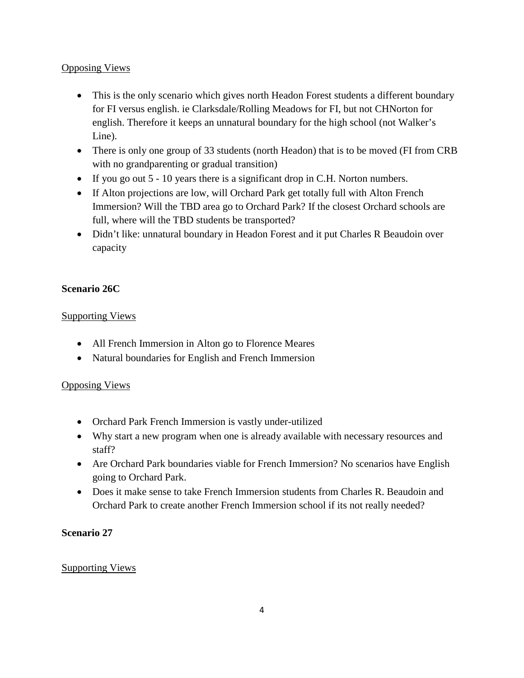### Opposing Views

- This is the only scenario which gives north Headon Forest students a different boundary for FI versus english. ie Clarksdale/Rolling Meadows for FI, but not CHNorton for english. Therefore it keeps an unnatural boundary for the high school (not Walker's Line).
- There is only one group of 33 students (north Headon) that is to be moved (FI from CRB with no grandparenting or gradual transition)
- If you go out 5 10 years there is a significant drop in C.H. Norton numbers.
- If Alton projections are low, will Orchard Park get totally full with Alton French Immersion? Will the TBD area go to Orchard Park? If the closest Orchard schools are full, where will the TBD students be transported?
- Didn't like: unnatural boundary in Headon Forest and it put Charles R Beaudoin over capacity

# **Scenario 26C**

### Supporting Views

- All French Immersion in Alton go to Florence Meares
- Natural boundaries for English and French Immersion

#### Opposing Views

- Orchard Park French Immersion is vastly under-utilized
- Why start a new program when one is already available with necessary resources and staff?
- Are Orchard Park boundaries viable for French Immersion? No scenarios have English going to Orchard Park.
- Does it make sense to take French Immersion students from Charles R. Beaudoin and Orchard Park to create another French Immersion school if its not really needed?

# **Scenario 27**

#### Supporting Views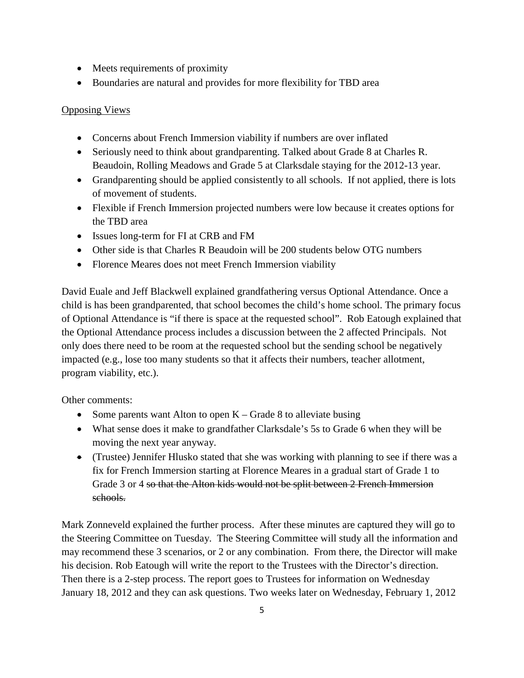- Meets requirements of proximity
- Boundaries are natural and provides for more flexibility for TBD area

### Opposing Views

- Concerns about French Immersion viability if numbers are over inflated
- Seriously need to think about grandparenting. Talked about Grade 8 at Charles R. Beaudoin, Rolling Meadows and Grade 5 at Clarksdale staying for the 2012-13 year.
- Grandparenting should be applied consistently to all schools. If not applied, there is lots of movement of students.
- Flexible if French Immersion projected numbers were low because it creates options for the TBD area
- Issues long-term for FI at CRB and FM
- Other side is that Charles R Beaudoin will be 200 students below OTG numbers
- Florence Meares does not meet French Immersion viability

David Euale and Jeff Blackwell explained grandfathering versus Optional Attendance. Once a child is has been grandparented, that school becomes the child's home school. The primary focus of Optional Attendance is "if there is space at the requested school". Rob Eatough explained that the Optional Attendance process includes a discussion between the 2 affected Principals. Not only does there need to be room at the requested school but the sending school be negatively impacted (e.g., lose too many students so that it affects their numbers, teacher allotment, program viability, etc.).

Other comments:

- Some parents want Alton to open  $K -$ Grade 8 to alleviate busing
- What sense does it make to grandfather Clarksdale's 5s to Grade 6 when they will be moving the next year anyway.
- (Trustee) Jennifer Hlusko stated that she was working with planning to see if there was a fix for French Immersion starting at Florence Meares in a gradual start of Grade 1 to Grade 3 or 4 so that the Alton kids would not be split between 2 French Immersion schools.

Mark Zonneveld explained the further process. After these minutes are captured they will go to the Steering Committee on Tuesday. The Steering Committee will study all the information and may recommend these 3 scenarios, or 2 or any combination. From there, the Director will make his decision. Rob Eatough will write the report to the Trustees with the Director's direction. Then there is a 2-step process. The report goes to Trustees for information on Wednesday January 18, 2012 and they can ask questions. Two weeks later on Wednesday, February 1, 2012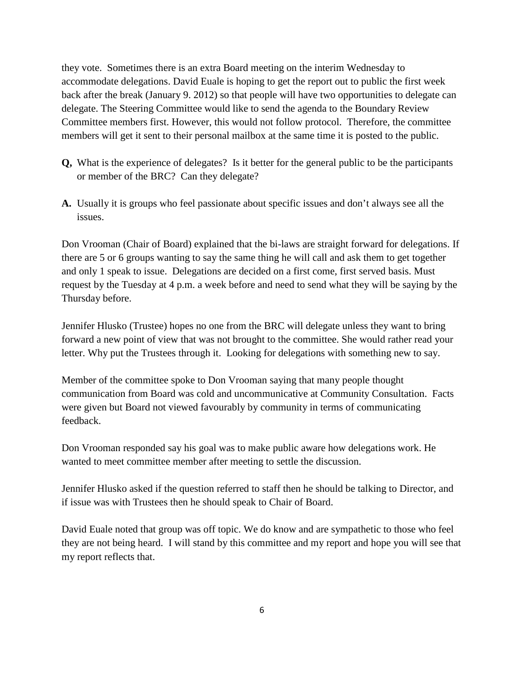they vote. Sometimes there is an extra Board meeting on the interim Wednesday to accommodate delegations. David Euale is hoping to get the report out to public the first week back after the break (January 9. 2012) so that people will have two opportunities to delegate can delegate. The Steering Committee would like to send the agenda to the Boundary Review Committee members first. However, this would not follow protocol. Therefore, the committee members will get it sent to their personal mailbox at the same time it is posted to the public.

- **Q,** What is the experience of delegates? Is it better for the general public to be the participants or member of the BRC? Can they delegate?
- **A.** Usually it is groups who feel passionate about specific issues and don't always see all the issues.

Don Vrooman (Chair of Board) explained that the bi-laws are straight forward for delegations. If there are 5 or 6 groups wanting to say the same thing he will call and ask them to get together and only 1 speak to issue. Delegations are decided on a first come, first served basis. Must request by the Tuesday at 4 p.m. a week before and need to send what they will be saying by the Thursday before.

Jennifer Hlusko (Trustee) hopes no one from the BRC will delegate unless they want to bring forward a new point of view that was not brought to the committee. She would rather read your letter. Why put the Trustees through it. Looking for delegations with something new to say.

Member of the committee spoke to Don Vrooman saying that many people thought communication from Board was cold and uncommunicative at Community Consultation. Facts were given but Board not viewed favourably by community in terms of communicating feedback.

Don Vrooman responded say his goal was to make public aware how delegations work. He wanted to meet committee member after meeting to settle the discussion.

Jennifer Hlusko asked if the question referred to staff then he should be talking to Director, and if issue was with Trustees then he should speak to Chair of Board.

David Euale noted that group was off topic. We do know and are sympathetic to those who feel they are not being heard. I will stand by this committee and my report and hope you will see that my report reflects that.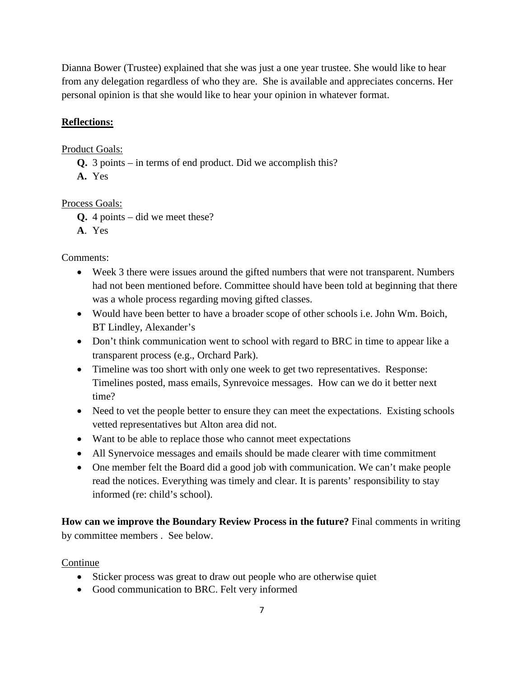Dianna Bower (Trustee) explained that she was just a one year trustee. She would like to hear from any delegation regardless of who they are. She is available and appreciates concerns. Her personal opinion is that she would like to hear your opinion in whatever format.

# **Reflections:**

### Product Goals:

- **Q.** 3 points in terms of end product. Did we accomplish this?
- **A.** Yes

### Process Goals:

- **Q.** 4 points did we meet these?
- **A**. Yes

### Comments:

- Week 3 there were issues around the gifted numbers that were not transparent. Numbers had not been mentioned before. Committee should have been told at beginning that there was a whole process regarding moving gifted classes.
- Would have been better to have a broader scope of other schools i.e. John Wm. Boich, BT Lindley, Alexander's
- Don't think communication went to school with regard to BRC in time to appear like a transparent process (e.g., Orchard Park).
- Timeline was too short with only one week to get two representatives. Response: Timelines posted, mass emails, Synrevoice messages. How can we do it better next time?
- Need to vet the people better to ensure they can meet the expectations. Existing schools vetted representatives but Alton area did not.
- Want to be able to replace those who cannot meet expectations
- All Synervoice messages and emails should be made clearer with time commitment
- One member felt the Board did a good job with communication. We can't make people read the notices. Everything was timely and clear. It is parents' responsibility to stay informed (re: child's school).

**How can we improve the Boundary Review Process in the future?** Final comments in writing by committee members . See below.

#### Continue

- Sticker process was great to draw out people who are otherwise quiet
- Good communication to BRC. Felt very informed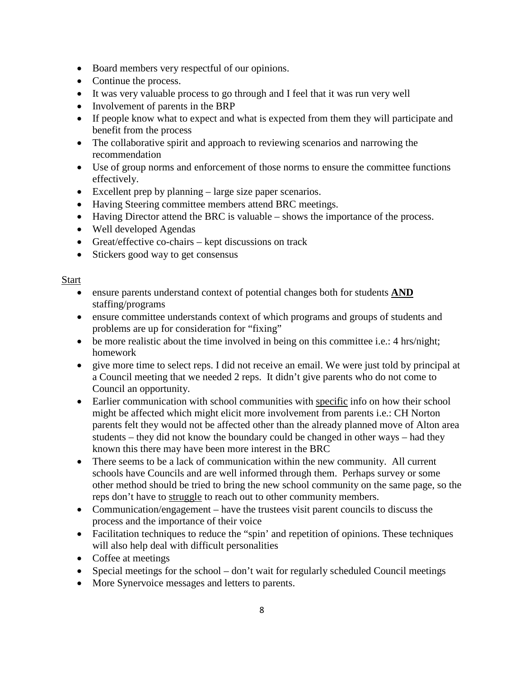- Board members very respectful of our opinions.
- Continue the process.
- It was very valuable process to go through and I feel that it was run very well
- Involvement of parents in the BRP
- If people know what to expect and what is expected from them they will participate and benefit from the process
- The collaborative spirit and approach to reviewing scenarios and narrowing the recommendation
- Use of group norms and enforcement of those norms to ensure the committee functions effectively.
- Excellent prep by planning large size paper scenarios.
- Having Steering committee members attend BRC meetings.
- Having Director attend the BRC is valuable shows the importance of the process.
- Well developed Agendas
- Great/effective co-chairs kept discussions on track
- Stickers good way to get consensus

#### Start

- ensure parents understand context of potential changes both for students **AND** staffing/programs
- ensure committee understands context of which programs and groups of students and problems are up for consideration for "fixing"
- be more realistic about the time involved in being on this committee i.e.: 4 hrs/night; homework
- give more time to select reps. I did not receive an email. We were just told by principal at a Council meeting that we needed 2 reps. It didn't give parents who do not come to Council an opportunity.
- Earlier communication with school communities with specific info on how their school might be affected which might elicit more involvement from parents i.e.: CH Norton parents felt they would not be affected other than the already planned move of Alton area students – they did not know the boundary could be changed in other ways – had they known this there may have been more interest in the BRC
- There seems to be a lack of communication within the new community. All current schools have Councils and are well informed through them. Perhaps survey or some other method should be tried to bring the new school community on the same page, so the reps don't have to struggle to reach out to other community members.
- Communication/engagement have the trustees visit parent councils to discuss the process and the importance of their voice
- Facilitation techniques to reduce the "spin' and repetition of opinions. These techniques will also help deal with difficult personalities
- Coffee at meetings
- Special meetings for the school don't wait for regularly scheduled Council meetings
- More Synervoice messages and letters to parents.